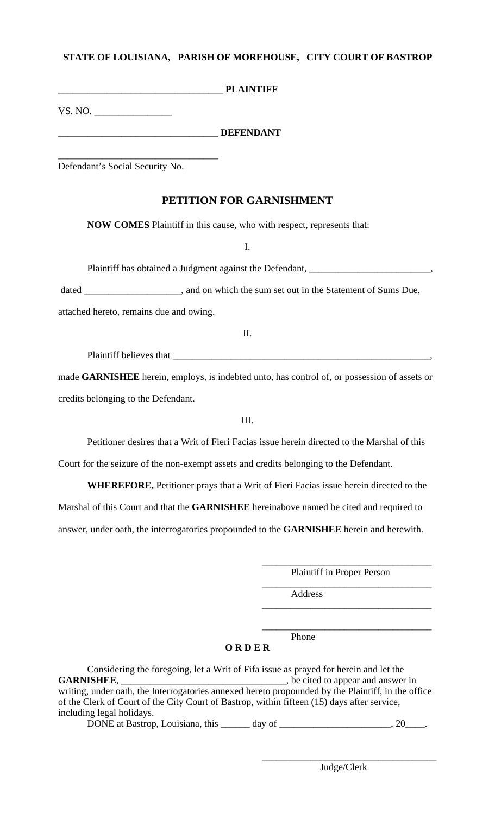#### **STATE OF LOUISIANA, PARISH OF MOREHOUSE, CITY COURT OF BASTROP**

|         |  | <b>PLAINTIFF</b> |
|---------|--|------------------|
| VS. NO. |  |                  |

## \_\_\_\_\_\_\_\_\_\_\_\_\_\_\_\_\_\_\_\_\_\_\_\_\_\_\_\_\_\_\_\_\_ **DEFENDANT**

Defendant's Social Security No.

\_\_\_\_\_\_\_\_\_\_\_\_\_\_\_\_\_\_\_\_\_\_\_\_\_\_\_\_\_\_\_\_\_

# **PETITION FOR GARNISHMENT**

**NOW COMES** Plaintiff in this cause, who with respect, represents that:

I.

Plaintiff has obtained a Judgment against the Defendant, \_\_\_\_\_\_\_\_\_\_\_\_\_\_\_\_\_\_\_\_\_\_\_

dated \_\_\_\_\_\_\_\_\_\_\_\_\_\_\_\_\_\_, and on which the sum set out in the Statement of Sums Due,

attached hereto, remains due and owing.

II.

Plaintiff believes that \_\_\_\_\_\_\_\_\_\_\_\_\_\_\_\_\_\_\_\_\_\_\_\_\_\_\_\_\_\_\_\_\_\_\_\_\_\_\_\_\_\_\_\_\_\_\_\_\_\_\_\_\_,

made **GARNISHEE** herein, employs, is indebted unto, has control of, or possession of assets or credits belonging to the Defendant.

III.

Petitioner desires that a Writ of Fieri Facias issue herein directed to the Marshal of this

Court for the seizure of the non-exempt assets and credits belonging to the Defendant.

**WHEREFORE,** Petitioner prays that a Writ of Fieri Facias issue herein directed to the

Marshal of this Court and that the **GARNISHEE** hereinabove named be cited and required to

answer, under oath, the interrogatories propounded to the **GARNISHEE** herein and herewith.

\_\_\_\_\_\_\_\_\_\_\_\_\_\_\_\_\_\_\_\_\_\_\_\_\_\_\_\_\_\_\_\_\_\_\_ Plaintiff in Proper Person

\_\_\_\_\_\_\_\_\_\_\_\_\_\_\_\_\_\_\_\_\_\_\_\_\_\_\_\_\_\_\_\_\_\_\_

\_\_\_\_\_\_\_\_\_\_\_\_\_\_\_\_\_\_\_\_\_\_\_\_\_\_\_\_\_\_\_\_\_\_\_

Address

**Phone** 

**O R D E R**

 $\overline{\phantom{a}}$  , which is a set of the set of the set of the set of the set of the set of the set of the set of the set of the set of the set of the set of the set of the set of the set of the set of the set of the set of th

| Considering the foregoing, let a Writ of Fifa issue as prayed for herein and let the                                                          |                                    |        |  |  |  |
|-----------------------------------------------------------------------------------------------------------------------------------------------|------------------------------------|--------|--|--|--|
| <b>GARNISHEE.</b>                                                                                                                             | , be cited to appear and answer in |        |  |  |  |
| writing, under oath, the Interrogatories annexed hereto propounded by the Plaintiff, in the office                                            |                                    |        |  |  |  |
| of the Clerk of Court of the City Court of Bastrop, within fifteen (15) days after service,                                                   |                                    |        |  |  |  |
| including legal holidays.                                                                                                                     |                                    |        |  |  |  |
| $\mathbf{D}\mathbf{Q}\mathbf{M}\mathbf{E}$ of $\mathbf{D}_{\text{c},\text{time}}$ $\mathbf{I}_{\text{c},\text{time}}$ $\mathbf{A}_{\text{c}}$ | $1 - \cdot$                        | $\cap$ |  |  |  |

DONE at Bastrop, Louisiana, this \_\_\_\_\_\_\_ day of \_\_\_\_\_\_\_\_\_\_\_\_\_\_\_\_\_\_\_\_\_\_\_\_, 20\_\_\_